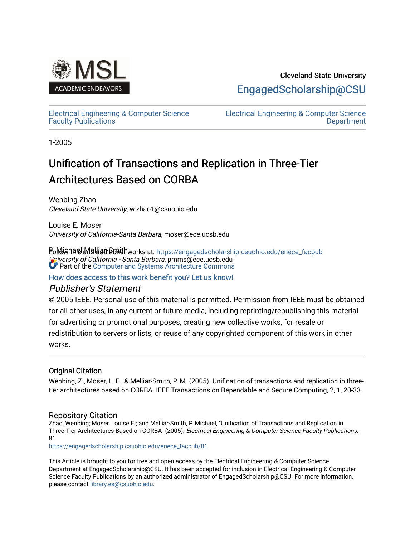

Cleveland State University [EngagedScholarship@CSU](https://engagedscholarship.csuohio.edu/) 

# [Electrical Engineering & Computer Science](https://engagedscholarship.csuohio.edu/enece_facpub)  [Faculty Publications](https://engagedscholarship.csuohio.edu/enece_facpub)

[Electrical Engineering & Computer Science](https://engagedscholarship.csuohio.edu/enece)  [Department](https://engagedscholarship.csuohio.edu/enece) 

1-2005

# Unification of Transactions and Replication in Three-Tier Architectures Based on CORBA

Wenbing Zhao Cleveland State University, w.zhao1@csuohio.edu

Louise E. Moser University of California-Santa Barbara, moser@ece.ucsb.edu

Po**Michael Melliann Mith**works at: [https://engagedscholarship.csuohio.edu/enece\\_facpub](https://engagedscholarship.csuohio.edu/enece_facpub?utm_source=engagedscholarship.csuohio.edu%2Fenece_facpub%2F81&utm_medium=PDF&utm_campaign=PDFCoverPages) niversity of California - Santa Barbara, pmms@ece.ucsb.edu Part of the [Computer and Systems Architecture Commons](http://network.bepress.com/hgg/discipline/259?utm_source=engagedscholarship.csuohio.edu%2Fenece_facpub%2F81&utm_medium=PDF&utm_campaign=PDFCoverPages)

# [How does access to this work benefit you? Let us know!](http://library.csuohio.edu/engaged/)

# Publisher's Statement

© 2005 IEEE. Personal use of this material is permitted. Permission from IEEE must be obtained for all other uses, in any current or future media, including reprinting/republishing this material for advertising or promotional purposes, creating new collective works, for resale or redistribution to servers or lists, or reuse of any copyrighted component of this work in other works.

# Original Citation

Wenbing, Z., Moser, L. E., & Melliar-Smith, P. M. (2005). Unification of transactions and replication in threetier architectures based on CORBA. IEEE Transactions on Dependable and Secure Computing, 2, 1, 20-33.

# Repository Citation

Zhao, Wenbing; Moser, Louise E.; and Melliar-Smith, P. Michael, "Unification of Transactions and Replication in Three-Tier Architectures Based on CORBA" (2005). Electrical Engineering & Computer Science Faculty Publications. 81.

[https://engagedscholarship.csuohio.edu/enece\\_facpub/81](https://engagedscholarship.csuohio.edu/enece_facpub/81?utm_source=engagedscholarship.csuohio.edu%2Fenece_facpub%2F81&utm_medium=PDF&utm_campaign=PDFCoverPages) 

This Article is brought to you for free and open access by the Electrical Engineering & Computer Science Department at EngagedScholarship@CSU. It has been accepted for inclusion in Electrical Engineering & Computer Science Faculty Publications by an authorized administrator of EngagedScholarship@CSU. For more information, please contact [library.es@csuohio.edu.](mailto:library.es@csuohio.edu)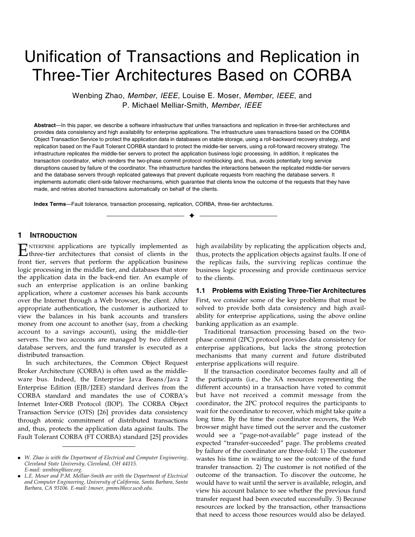# Unification of Transactions and Replication in Three-Tier Architectures Based on CORBA

Wenbing Zhao, Member, IEEE, Louise E. Moser, Member, IEEE, and P. Michael Melliar-Smith, Member, IEEE

Abstract—In this paper, we describe a software infrastructure that unifies transactions and replication in three-tier architectures and provides data consistency and high availability for enterprise applications. The infrastructure uses transactions based on the CORBA Object Transaction Service to protect the application data in databases on stable storage, using a roll-backward recovery strategy, and replication based on the Fault Tolerant CORBA standard to protect the middle-tier servers, using a roll-forward recovery strategy. The infrastructure replicates the middle-tier servers to protect the application business logic processing. In addition, it replicates the transaction coordinator, which renders the two-phase commit protocol nonblocking and, thus, avoids potentially long service disruptions caused by failure of the coordinator. The infrastructure handles the interactions between the replicated middle-tier servers and the database servers through replicated gateways that prevent duplicate requests from reaching the database servers. It implements automatic client-side failover mechanisms, which guarantee that clients know the outcome of the requests that they have made, and retries aborted transactions automatically on behalf of the clients.

Index Terms—Fault tolerance, transaction processing, replication, CORBA, three-tier architectures.

#### 1 INTRODUCTION

ENTERPRISE applications are typically implemented as high availability by replicating the application objects and,<br>three-tier architectures that consist of clients in the thus, protects the application objects against faul front tier, servers that perform the application business the replicas fails, the surviving replicas continue the logic processing in the middle tier, and databases that store business logic processing and provide continuo the application data in the back-end tier. An example of such an enterprise application is an online banking such an enterprise application. Is an online banding 1.1 Problems with Existing Three-Tier Architectures application, where a customer accesses his bank accounts 1.1 Problems with Existing Three-Tier Architectures over the over the Internet through a Web browser, the client. After appropriate authentication, the customer is authorized to solved to provide both data consistency and high avail-<br>view the balances in his bank accounts and transfers ability for enterprise applications, using the above on money from one account to another (say, from a checking banking application as an example. account to a savings account), using the middle-tier Traditional transaction processing based on the twoservers. The two accounts are managed by two different phase commit (2PC) protocol provides data consistency for database servers, and the fund transfer is executed as a enterprise applications, but lacks the strong protection

In such architectures, the Common Object Request enterprise applications will require. Broker Architecture (CORBA) is often used as the middle- If the transaction coordinator becomes faulty and all of ware bus. Indeed, the Enterprise Java Beans/Java 2 the participants (i.e., the XA resources representing the Enterprise Edition (EJB/J2EE) standard derives from the different accounts) in a transaction have voted to commit CORBA standard and mandates the use of CORBA's but have not received a commit message from the Internet Inter-ORB Protocol (IIOP). The CORBA Object coordinator, the 2PC protocol requires the participants to Transaction Service (OTS) [26] provides data consistency wait for the coordinator to recover, which might take Transaction Service (OTS) [26] provides data consistency wait for the coordinator to recover, which might take quite a<br>through atomic commitment of distributed transactions long time. By the time the coordinator recovers, through atomic commitment of distributed transactions long time. By the time the coordinator recovers, the Web<br>and thus protects the application data against faults. The location browser might have timed out the server and and, thus, protects the application data against faults. The browser might have timed out the server and the customer<br>Fault Tolerant CORBA (FT CORBA) standard [25] provides would see a "page-not-available" page instead of

business logic processing and provide continuous service to the clients.

ability for enterprise applications, using the above online

mechanisms that many current and future distributed

Fault Tolerant CORBA (FT CORBA) standard [25] provides expected "page-not-available" page instead of the Fault Tolerant CORBA (FT CORBA) standard [25] provides expected "transfer-succeeded" page. The problems created by failure of the coordinator are three-fold: 1) The customer • W. Zhao is with the Department of Electrical and Computer Engineering, wastes his time in waiting to see the outcome of the fund<br>Cleveland State University, Cleveland, OH 44115. Cleveland State University, Cleveland, OH 44115.<br>E-mail: wenbing@ieee.org. and Computer Engineering, University of California, Santa Barbara, Santa would have to wait until the server is available, relogin, and<br>Barbara, CA 93106. E-mail: {moser, pmms}@ece.ucsb.edu. view his account balance to see whether the previous fund transfer request had been executed successfully. 3) Because resources are locked by the transaction, other transactions that need to access those resources would also be delayed.

<sup>•</sup> L.E. Moser and P.M. Melliar-Smith are with the Department of Electrical outcome of the transaction. To discover the outcome, he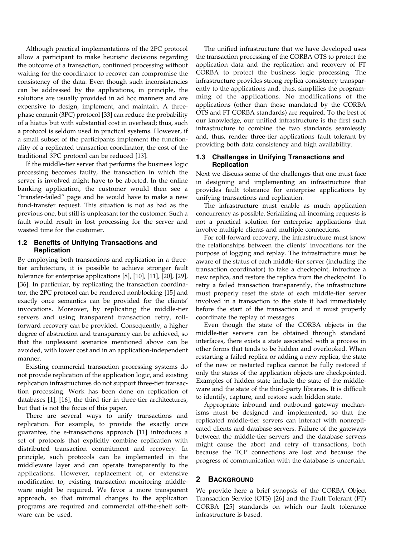Although practical implementations of the 2PC protocol allow a participant to make heuristic decisions regarding the outcome of a transaction, continued processing without waiting for the coordinator to recover can compromise the consistency of the data. Even though such inconsistencies can be addressed by the applications, in principle, the solutions are usually provided in ad hoc manners and are expensive to design, implement, and maintain. A threephase commit (3PC) protocol [33] can reduce the probability of a hiatus but with substantial cost in overhead; thus, such a protocol is seldom used in practical systems. However, if a small subset of the participants implement the functionality of a replicated transaction coordinator, the cost of the traditional 3PC protocol can be reduced [13].

If the middle-tier server that performs the business logic processing becomes faulty, the transaction in which the server is involved might have to be aborted. In the online banking application, the customer would then see a "transfer-failed" page and he would have to make a new fund-transfer request. This situation is not as bad as the previous one, but still is unpleasant for the customer. Such a fault would result in lost processing for the server and wasted time for the customer.

#### 1.2 Benefits of Unifying Transactions and **Replication**

By employing both transactions and replication in a threetier architecture, it is possible to achieve stronger fault tolerance for enterprise applications [8], [10], [11], [20], [29], [36]. In particular, by replicating the transaction coordinator, the 2PC protocol can be rendered nonblocking [15] and exactly once semantics can be provided for the clients' invocations. Moreover, by replicating the middle-tier servers and using transparent transaction retry, rollforward recovery can be provided. Consequently, a higher degree of abstraction and transparency can be achieved, so that the unpleasant scenarios mentioned above can be avoided, with lower cost and in an application-independent manner.

Existing commercial transaction processing systems do not provide replication of the application logic, and existing replication infrastructures do not support three-tier transaction processing. Work has been done on replication of databases [1], [16], the third tier in three-tier architectures, but that is not the focus of this paper.

There are several ways to unify transactions and replication. For example, to provide the exactly once guarantee, the e-transactions approach [11] introduces a set of protocols that explicitly combine replication with distributed transaction commitment and recovery. In principle, such protocols can be implemented in the middleware layer and can operate transparently to the applications. However, replacement of, or extensive modification to, existing transaction monitoring middleware might be required. We favor a more transparent approach, so that minimal changes to the application programs are required and commercial off-the-shelf software can be used.

The unified infrastructure that we have developed uses the transaction processing of the CORBA OTS to protect the application data and the replication and recovery of FT CORBA to protect the business logic processing. The infrastructure provides strong replica consistency transparently to the applications and, thus, simplifies the programming of the applications. No modifications of the applications (other than those mandated by the CORBA OTS and FT CORBA standards) are required. To the best of our knowledge, our unified infrastructure is the first such infrastructure to combine the two standards seamlessly and, thus, render three-tier applications fault tolerant by providing both data consistency and high availability.

#### 1.3 Challenges in Unifying Transactions and **Replication**

Next we discuss some of the challenges that one must face in designing and implementing an infrastructure that provides fault tolerance for enterprise applications by unifying transactions and replication.

The infrastructure must enable as much application concurrency as possible. Serializing all incoming requests is not a practical solution for enterprise applications that involve multiple clients and multiple connections.

For roll-forward recovery, the infrastructure must know the relationships between the clients' invocations for the purpose of logging and replay. The infrastructure must be aware of the status of each middle-tier server (including the transaction coordinator) to take a checkpoint, introduce a new replica, and restore the replica from the checkpoint. To retry a failed transaction transparently, the infrastructure must properly reset the state of each middle-tier server involved in a transaction to the state it had immediately before the start of the transaction and it must properly coordinate the replay of messages.

Even though the state of the CORBA objects in the middle-tier servers can be obtained through standard interfaces, there exists a state associated with a process in other forms that tends to be hidden and overlooked. When restarting a failed replica or adding a new replica, the state of the new or restarted replica cannot be fully restored if only the states of the application objects are checkpointed. Examples of hidden state include the state of the middleware and the state of the third-party libraries. It is difficult to identify, capture, and restore such hidden state.

Appropriate inbound and outbound gateway mechanisms must be designed and implemented, so that the replicated middle-tier servers can interact with nonreplicated clients and database servers. Failure of the gateways between the middle-tier servers and the database servers might cause the abort and retry of transactions, both because the TCP connections are lost and because the progress of communication with the database is uncertain.

## 2 BACKGROUND

We provide here a brief synopsis of the CORBA Object Transaction Service (OTS) [26] and the Fault Tolerant (FT) CORBA [25] standards on which our fault tolerance infrastructure is based.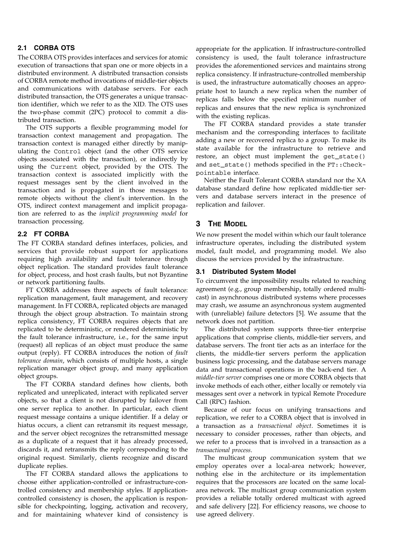### 2.1 CORBA OTS

The CORBA OTS provides interfaces and services for atomic execution of transactions that span one or more objects in a distributed environment. A distributed transaction consists of CORBA remote method invocations of middle-tier objects and communications with database servers. For each distributed transaction, the OTS generates a unique transaction identifier, which we refer to as the XID. The OTS uses the two-phase commit (2PC) protocol to commit a distributed transaction.

The OTS supports a flexible programming model for transaction context management and propagation. The transaction context is managed either directly by manipulating the Control object (and the other OTS service objects associated with the transaction), or indirectly by using the Current object, provided by the OTS. The transaction context is associated implicitly with the request messages sent by the client involved in the transaction and is propagated in those messages to remote objects without the client's intervention. In the OTS, indirect context management and implicit propagation are referred to as the implicit programming model for transaction processing.

#### 2.2 FT CORBA

The FT CORBA standard defines interfaces, policies, and services that provide robust support for applications requiring high availability and fault tolerance through object replication. The standard provides fault tolerance for object, process, and host crash faults, but not Byzantine or network partitioning faults.

FT CORBA addresses three aspects of fault tolerance: replication management, fault management, and recovery management. In FT CORBA, replicated objects are managed through the object group abstraction. To maintain strong replica consistency, FT CORBA requires objects that are replicated to be deterministic, or rendered deterministic by the fault tolerance infrastructure, i.e., for the same input (request) all replicas of an object must produce the same output (reply). FT CORBA introduces the notion of fault tolerance domain, which consists of multiple hosts, a single replication manager object group, and many application object groups.

The FT CORBA standard defines how clients, both replicated and unreplicated, interact with replicated server objects, so that a client is not disrupted by failover from one server replica to another. In particular, each client request message contains a unique identifier. If a delay or hiatus occurs, a client can retransmit its request message, and the server object recognizes the retransmitted message as a duplicate of a request that it has already processed, discards it, and retransmits the reply corresponding to the original request. Similarly, clients recognize and discard duplicate replies.

The FT CORBA standard allows the applications to choose either application-controlled or infrastructure-controlled consistency and membership styles. If applicationcontrolled consistency is chosen, the application is responsible for checkpointing, logging, activation and recovery, and for maintaining whatever kind of consistency is

appropriate for the application. If infrastructure-controlled consistency is used, the fault tolerance infrastructure provides the aforementioned services and maintains strong replica consistency. If infrastructure-controlled membership is used, the infrastructure automatically chooses an appropriate host to launch a new replica when the number of replicas falls below the specified minimum number of replicas and ensures that the new replica is synchronized with the existing replicas.

The FT CORBA standard provides a state transfer mechanism and the corresponding interfaces to facilitate adding a new or recovered replica to a group. To make its state available for the infrastructure to retrieve and restore, an object must implement the get\_state() and set\_state() methods specified in the FT::Checkpointable interface.

Neither the Fault Tolerant CORBA standard nor the XA database standard define how replicated middle-tier servers and database servers interact in the presence of replication and failover.

#### 3 THE MODEL

We now present the model within which our fault tolerance infrastructure operates, including the distributed system model, fault model, and programming model. We also discuss the services provided by the infrastructure.

#### 3.1 Distributed System Model

To circumvent the impossibility results related to reaching agreement (e.g., group membership, totally ordered multicast) in asynchronous distributed systems where processes may crash, we assume an asynchronous system augmented with (unreliable) failure detectors [5]. We assume that the network does not partition.

The distributed system supports three-tier enterprise applications that comprise clients, middle-tier servers, and database servers. The front tier acts as an interface for the clients, the middle-tier servers perform the application business logic processing, and the database servers manage data and transactional operations in the back-end tier. A middle-tier server comprises one or more CORBA objects that invoke methods of each other, either locally or remotely via messages sent over a network in typical Remote Procedure Call (RPC) fashion.

Because of our focus on unifying transactions and replication, we refer to a CORBA object that is involved in a transaction as a transactional object. Sometimes it is necessary to consider processes, rather than objects, and we refer to a process that is involved in a transaction as a transactional process.

The multicast group communication system that we employ operates over a local-area network; however, nothing else in the architecture or its implementation requires that the processors are located on the same localarea network. The multicast group communication system provides a reliable totally ordered multicast with agreed and safe delivery [22]. For efficiency reasons, we choose to use agreed delivery.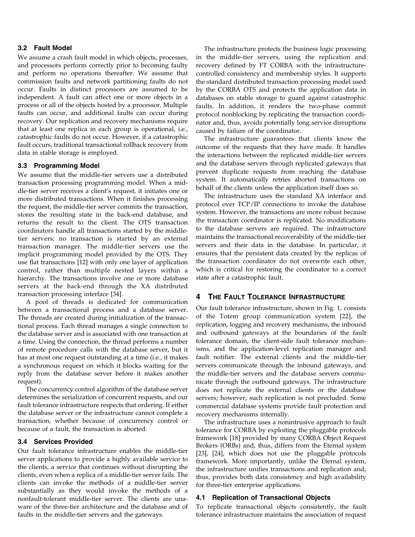#### 3.2 Fault Model

We assume a crash fault model in which objects, processes, and processors perform correctly prior to becoming faulty and perform no operations thereafter. We assume that commission faults and network partitioning faults do not occur. Faults in distinct processors are assumed to be independent. A fault can affect one or more objects in a process or all of the objects hosted by a processor. Multiple faults can occur, and additional faults can occur during recovery. Our replication and recovery mechanisms require that at least one replica in each group is operational, i.e., catastrophic faults do not occur. However, if a catastrophic fault occurs, traditional transactional rollback recovery from data in stable storage is employed.

#### 3.3 Programming Model

We assume that the middle-tier servers use a distributed transaction processing programming model. When a middle-tier server receives a client's request, it initiates one or more distributed transactions. When it finishes processing the request, the middle-tier server commits the transaction, stores the resulting state in the back-end database, and returns the result to the client. The OTS transaction coordinators handle all transactions started by the middletier servers; no transaction is started by an external transaction manager. The middle-tier servers use the implicit programming model provided by the OTS. They use flat transactions [12] with only one layer of application control, rather than multiple nested layers within a hierarchy. The transactions involve one or more database servers at the back-end through the XA distributed transaction processing interface [34].

A pool of threads is dedicated for communication between a transactional process and a database server. The threads are created during initialization of the transactional process. Each thread manages a single connection to the database server and is associated with one transaction at a time. Using the connection, the thread performs a number of remote procedure calls with the database server, but it has at most one request outstanding at a time (i.e., it makes a synchronous request on which it blocks waiting for the reply from the database server before it makes another request).

The concurrency control algorithm of the database server determines the serialization of concurrent requests, and our fault tolerance infrastructure respects that ordering. If either the database server or the infrastructure cannot complete a transaction, whether because of concurrency control or because of a fault, the transaction is aborted.

#### 3.4 Services Provided

Our fault tolerance infrastructure enables the middle-tier server applications to provide a highly available service to the clients, a service that continues without disrupting the clients, even when a replica of a middle-tier server fails. The clients can invoke the methods of a middle-tier server substantially as they would invoke the methods of a nonfault-tolerant middle-tier server. The clients are unaware of the three-tier architecture and the database and of faults in the middle-tier servers and the gateways.

The infrastructure protects the business logic processing in the middle-tier servers, using the replication and recovery defined by FT CORBA with the infrastructurecontrolled consistency and membership styles. It supports the standard distributed transaction processing model used by the CORBA OTS and protects the application data in databases on stable storage to guard against catastrophic faults. In addition, it renders the two-phase commit protocol nonblocking by replicating the transaction coordinator and, thus, avoids potentially long service disruptions caused by failure of the coordinator.

The infrastructure guarantees that clients know the outcome of the requests that they have made. It handles the interactions between the replicated middle-tier servers and the database servers through replicated gateways that prevent duplicate requests from reaching the database system. It automatically retries aborted transactions on behalf of the clients unless the application itself does so.

The infrastructure uses the standard XA interface and protocol over TCP/IP connections to invoke the database system. However, the transactions are more robust because the transaction coordinator is replicated. No modifications to the database servers are required. The infrastructure maintains the transactional recoverability of the middle-tier servers and their data in the database. In particular, it ensures that the persistent data created by the replicas of the transaction coordinator do not overwrite each other, which is critical for restoring the coordinator to a correct state after a catastrophic fault.

#### 4 THE FAULT TOLERANCE INFRASTRUCTURE

Our fault tolerance infrastructure, shown in Fig. 1, consists of the Totem group communication system [22], the replication, logging and recovery mechanisms, the inbound and outbound gateways at the boundaries of the fault tolerance domain, the client-side fault tolerance mechanisms, and the application-level replication manager and fault notifier. The external clients and the middle-tier servers communicate through the inbound gateways, and the middle-tier servers and the database servers communicate through the outbound gateways. The infrastructure does not replicate the external clients or the database servers; however, such replication is not precluded. Some commercial database systems provide fault protection and recovery mechanisms internally.

The infrastructure uses a nonintrusive approach to fault tolerance for CORBA by exploiting the pluggable protocols framework [18] provided by many CORBA Object Request Brokers (ORBs) and, thus, differs from the Eternal system [23], [24], which does not use the pluggable protocols framework. More importantly, unlike the Eternal system, the infrastructure unifies transactions and replication and, thus, provides both data consistency and high availability for three-tier enterprise applications.

#### 4.1 Replication of Transactional Objects

To replicate transactional objects consistently, the fault tolerance infrastructure maintains the association of request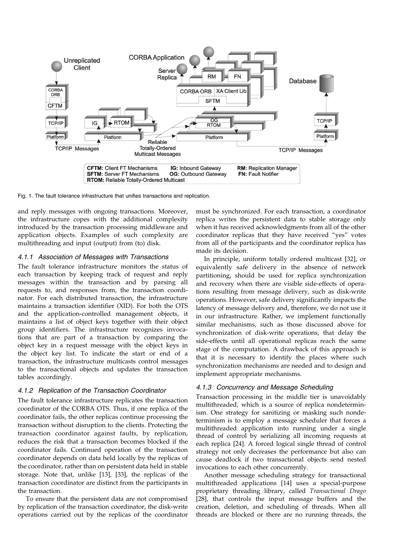

Fig. 1. The fault tolerance infrastructure that unifies transactions and replication.

and reply messages with ongoing transactions. Moreover, the infrastructure copes with the additional complexity introduced by the transaction processing middleware and application objects. Examples of such complexity are multithreading and input (output) from (to) disk.

#### 4.1.1 Association of Messages with Transactions

The fault tolerance infrastructure monitors the status of each transaction by keeping track of request and reply messages within the transaction and by parsing all requests to, and responses from, the transaction coordinator. For each distributed transaction, the infrastructure maintains a transaction identifier (XID). For both the OTS and the application-controlled management objects, it maintains a list of object keys together with their object group identifiers. The infrastructure recognizes invocations that are part of a transaction by comparing the object key in a request message with the object keys in the object key list. To indicate the start or end of a transaction, the infrastructure multicasts control messages to the transactional objects and updates the transaction tables accordingly.

#### 4.1.2 Replication of the Transaction Coordinator

The fault tolerance infrastructure replicates the transaction coordinator of the CORBA OTS. Thus, if one replica of the coordinator fails, the other replicas continue processing the transaction without disruption to the clients. Protecting the transaction coordinator against faults, by replication, reduces the risk that a transaction becomes blocked if the coordinator fails. Continued operation of the transaction coordinator depends on data held locally by the replicas of the coordinator, rather than on persistent data held in stable storage. Note that, unlike [13], [33], the replicas of the transaction coordinator are distinct from the participants in the transaction.

To ensure that the persistent data are not compromised by replication of the transaction coordinator, the disk-write operations carried out by the replicas of the coordinator must be synchronized. For each transaction, a coordinator replica writes the persistent data to stable storage only when it has received acknowledgments from all of the other coordinator replicas that they have received "yes" votes from all of the participants and the coordinator replica has made its decision.

In principle, uniform totally ordered multicast [32], or equivalently safe delivery in the absence of network partitioning, should be used for replica synchronization and recovery when there are visible side-effects of operations resulting from message delivery, such as disk-write operations. However, safe delivery significantly impacts the latency of message delivery and, therefore, we do not use it in our infrastructure. Rather, we implement functionally similar mechanisms, such as those discussed above for synchronization of disk-write operations, that delay the side-effects until all operational replicas reach the same stage of the computation. A drawback of this approach is that it is necessary to identify the places where such synchronization mechanisms are needed and to design and implement appropriate mechanisms.

#### 4.1.3 Concurrency and Message Scheduling

Transaction processing in the middle tier is unavoidably multithreaded, which is a source of replica nondeterminism. One strategy for sanitizing or masking such nondeterminism is to employ a message scheduler that forces a multithreaded application into running under a single thread of control by serializing all incoming requests at each replica [24]. A forced logical single thread of control strategy not only decreases the performance but also can cause deadlock if two transactional objects send nested invocations to each other concurrently.

Another message scheduling strategy for transactional multithreaded applications [14] uses a special-purpose proprietary threading library, called Transactional Drago [28], that controls the input message buffers and the creation, deletion, and scheduling of threads. When all threads are blocked or there are no running threads, the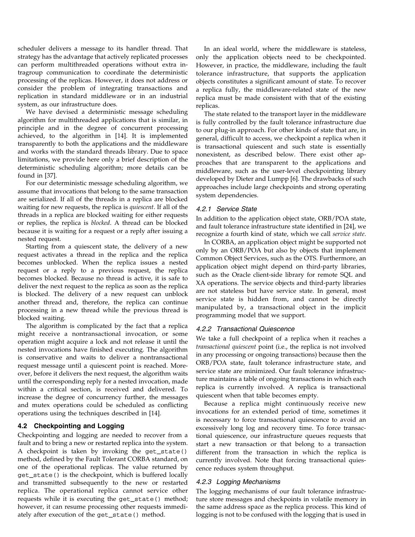scheduler delivers a message to its handler thread. That strategy has the advantage that actively replicated processes can perform multithreaded operations without extra intragroup communication to coordinate the deterministic processing of the replicas. However, it does not address or consider the problem of integrating transactions and replication in standard middleware or in an industrial system, as our infrastructure does.

We have devised a deterministic message scheduling algorithm for multithreaded applications that is similar, in principle and in the degree of concurrent processing achieved, to the algorithm in [14]. It is implemented transparently to both the applications and the middleware and works with the standard threads library. Due to space limitations, we provide here only a brief description of the deterministic scheduling algorithm; more details can be found in [37].

For our deterministic message scheduling algorithm, we assume that invocations that belong to the same transaction are serialized. If all of the threads in a replica are blocked waiting for new requests, the replica is quiescent. If all of the threads in a replica are blocked waiting for either requests or replies, the replica is blocked. A thread can be blocked because it is waiting for a request or a reply after issuing a nested request.

Starting from a quiescent state, the delivery of a new request activates a thread in the replica and the replica becomes unblocked. When the replica issues a nested request or a reply to a previous request, the replica becomes blocked. Because no thread is active, it is safe to deliver the next request to the replica as soon as the replica is blocked. The delivery of a new request can unblock another thread and, therefore, the replica can continue processing in a new thread while the previous thread is blocked waiting.

The algorithm is complicated by the fact that a replica might receive a nontransactional invocation, or some operation might acquire a lock and not release it until the nested invocations have finished executing. The algorithm is conservative and waits to deliver a nontransactional request message until a quiescent point is reached. Moreover, before it delivers the next request, the algorithm waits until the corresponding reply for a nested invocation, made within a critical section, is received and delivered. To increase the degree of concurrency further, the messages and mutex operations could be scheduled as conflicting operations using the techniques described in [14].

#### 4.2 Checkpointing and Logging

Checkpointing and logging are needed to recover from a fault and to bring a new or restarted replica into the system. A checkpoint is taken by invoking the get\_state() method, defined by the Fault Tolerant CORBA standard, on one of the operational replicas. The value returned by get\_state() is the checkpoint, which is buffered locally and transmitted subsequently to the new or restarted replica. The operational replica cannot service other requests while it is executing the get\_state() method; however, it can resume processing other requests immediately after execution of the get\_state() method.

In an ideal world, where the middleware is stateless, only the application objects need to be checkpointed. However, in practice, the middleware, including the fault tolerance infrastructure, that supports the application objects constitutes a significant amount of state. To recover a replica fully, the middleware-related state of the new replica must be made consistent with that of the existing replicas.

The state related to the transport layer in the middleware is fully controlled by the fault tolerance infrastructure due to our plug-in approach. For other kinds of state that are, in general, difficult to access, we checkpoint a replica when it is transactional quiescent and such state is essentially nonexistent, as described below. There exist other approaches that are transparent to the applications and middleware, such as the user-level checkpointing library developed by Dieter and Lumpp [6]. The drawbacks of such approaches include large checkpoints and strong operating system dependencies.

#### 4.2.1 Service State

In addition to the application object state, ORB/POA state, and fault tolerance infrastructure state identified in [24], we recognize a fourth kind of state, which we call service state.

In CORBA, an application object might be supported not only by an ORB/POA but also by objects that implement Common Object Services, such as the OTS. Furthermore, an application object might depend on third-party libraries, such as the Oracle client-side library for remote SQL and XA operations. The service objects and third-party libraries are not stateless but have service state. In general, most service state is hidden from, and cannot be directly manipulated by, a transactional object in the implicit programming model that we support.

#### 4.2.2 Transactional Quiescence

We take a full checkpoint of a replica when it reaches a transactional quiescent point (i.e., the replica is not involved in any processing or ongoing transactions) because then the ORB/POA state, fault tolerance infrastructure state, and service state are minimized. Our fault tolerance infrastructure maintains a table of ongoing transactions in which each replica is currently involved. A replica is transactional quiescent when that table becomes empty.

Because a replica might continuously receive new invocations for an extended period of time, sometimes it is necessary to force transactional quiescence to avoid an excessively long log and recovery time. To force transactional quiescence, our infrastructure queues requests that start a new transaction or that belong to a transaction different from the transaction in which the replica is currently involved. Note that forcing transactional quiescence reduces system throughput.

#### 4.2.3 Logging Mechanisms

The logging mechanisms of our fault tolerance infrastructure store messages and checkpoints in volatile memory in the same address space as the replica process. This kind of logging is not to be confused with the logging that is used in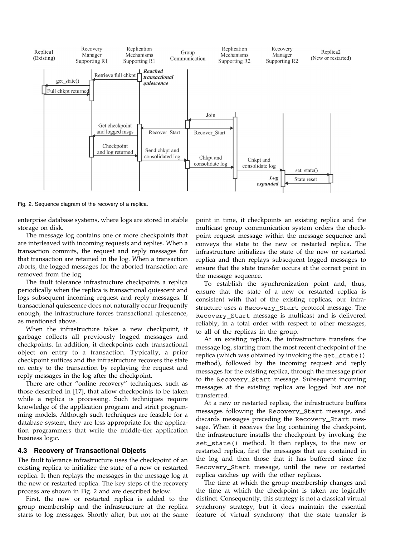

Fig. 2. Sequence diagram of the recovery of a replica.

enterprise database systems, where logs are stored in stable storage on disk.

The message log contains one or more checkpoints that are interleaved with incoming requests and replies. When a transaction commits, the request and reply messages for that transaction are retained in the log. When a transaction aborts, the logged messages for the aborted transaction are removed from the log.

The fault tolerance infrastructure checkpoints a replica periodically when the replica is transactional quiescent and logs subsequent incoming request and reply messages. If transactional quiescence does not naturally occur frequently enough, the infrastructure forces transactional quiescence, as mentioned above.

When the infrastructure takes a new checkpoint, it garbage collects all previously logged messages and checkpoints. In addition, it checkpoints each transactional object on entry to a transaction. Typically, a prior checkpoint suffices and the infrastructure recovers the state on entry to the transaction by replaying the request and reply messages in the log after the checkpoint.

There are other "online recovery" techniques, such as those described in [17], that allow checkpoints to be taken while a replica is processing. Such techniques require knowledge of the application program and strict programming models. Although such techniques are feasible for a database system, they are less appropriate for the application programmers that write the middle-tier application business logic.

#### 4.3 Recovery of Transactional Objects

The fault tolerance infrastructure uses the checkpoint of an existing replica to initialize the state of a new or restarted replica. It then replays the messages in the message log at the new or restarted replica. The key steps of the recovery process are shown in Fig. 2 and are described below.

First, the new or restarted replica is added to the group membership and the infrastructure at the replica starts to log messages. Shortly after, but not at the same point in time, it checkpoints an existing replica and the multicast group communication system orders the checkpoint request message within the message sequence and conveys the state to the new or restarted replica. The infrastructure initializes the state of the new or restarted replica and then replays subsequent logged messages to ensure that the state transfer occurs at the correct point in the message sequence.

To establish the synchronization point and, thus, ensure that the state of a new or restarted replica is consistent with that of the existing replicas, our infrastructure uses a Recovery\_Start protocol message. The Recovery\_Start message is multicast and is delivered reliably, in a total order with respect to other messages, to all of the replicas in the group.

At an existing replica, the infrastructure transfers the message log, starting from the most recent checkpoint of the replica (which was obtained by invoking the get\_state() method), followed by the incoming request and reply messages for the existing replica, through the message prior to the Recovery\_Start message. Subsequent incoming messages at the existing replica are logged but are not transferred.

At a new or restarted replica, the infrastructure buffers messages following the Recovery\_Start message, and discards messages preceding the Recovery\_Start message. When it receives the log containing the checkpoint, the infrastructure installs the checkpoint by invoking the set\_state() method. It then replays, to the new or restarted replica, first the messages that are contained in the log and then those that it has buffered since the Recovery\_Start message, until the new or restarted replica catches up with the other replicas.

The time at which the group membership changes and the time at which the checkpoint is taken are logically distinct. Consequently, this strategy is not a classical virtual synchrony strategy, but it does maintain the essential feature of virtual synchrony that the state transfer is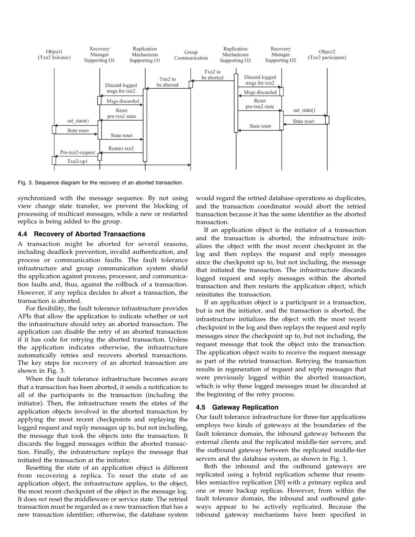

Fig. 3. Sequence diagram for the recovery of an aborted transaction.

synchronized with the message sequence. By not using view change state transfer, we prevent the blocking of processing of multicast messages, while a new or restarted replica is being added to the group.

#### 4.4 Recovery of Aborted Transactions

A transaction might be aborted for several reasons, including deadlock prevention, invalid authentication, and process or communication faults. The fault tolerance infrastructure and group communication system shield the application against process, processor, and communication faults and, thus, against the rollback of a transaction. However, if any replica decides to abort a transaction, the transaction is aborted.

For flexibility, the fault tolerance infrastructure provides APIs that allow the application to indicate whether or not the infrastructure should retry an aborted transaction. The application can disable the retry of an aborted transaction if it has code for retrying the aborted transaction. Unless the application indicates otherwise, the infrastructure automatically retries and recovers aborted transactions. The key steps for recovery of an aborted transaction are shown in Fig. 3.

When the fault tolerance infrastructure becomes aware that a transaction has been aborted, it sends a notification to all of the participants in the transaction (including the initiator). Then, the infrastructure resets the states of the application objects involved in the aborted transaction by applying the most recent checkpoints and replaying the logged request and reply messages up to, but not including, the message that took the objects into the transaction. It discards the logged messages within the aborted transaction. Finally, the infrastructure replays the message that initiated the transaction at the initiator.

Resetting the state of an application object is different from recovering a replica. To reset the state of an application object, the infrastructure applies, to the object, the most recent checkpoint of the object in the message log. It does not reset the middleware or service state. The retried transaction must be regarded as a new transaction that has a new transaction identifier; otherwise, the database system

would regard the retried database operations as duplicates, and the transaction coordinator would abort the retried transaction because it has the same identifier as the aborted transaction.

If an application object is the initiator of a transaction and the transaction is aborted, the infrastructure initializes the object with the most recent checkpoint in the log and then replays the request and reply messages since the checkpoint up to, but not including, the message that initiated the transaction. The infrastructure discards logged request and reply messages within the aborted transaction and then restarts the application object, which reinitiates the transaction.

If an application object is a participant in a transaction, but is not the initiator, and the transaction is aborted, the infrastructure initializes the object with the most recent checkpoint in the log and then replays the request and reply messages since the checkpoint up to, but not including, the request message that took the object into the transaction. The application object waits to receive the request message as part of the retried transaction. Retrying the transaction results in regeneration of request and reply messages that were previously logged within the aborted transaction, which is why these logged messages must be discarded at the beginning of the retry process.

#### 4.5 Gateway Replication

Our fault tolerance infrastructure for three-tier applications employs two kinds of gateways at the boundaries of the fault tolerance domain, the inbound gateway between the external clients and the replicated middle-tier servers, and the outbound gateway between the replicated middle-tier servers and the database system, as shown in Fig. 1.

Both the inbound and the outbound gateways are replicated using a hybrid replication scheme that resembles semiactive replication [30] with a primary replica and one or more backup replicas. However, from within the fault tolerance domain, the inbound and outbound gateways appear to be actively replicated. Because the inbound gateway mechanisms have been specified in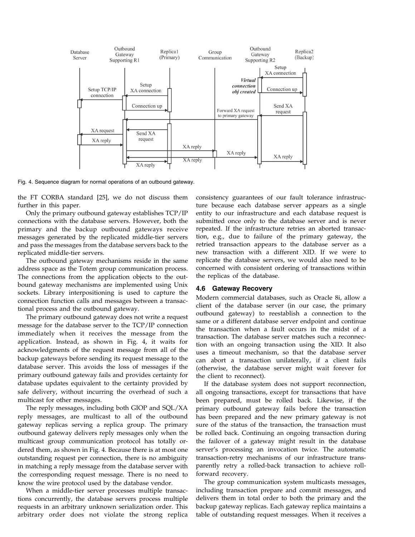

Fig. 4. Sequence diagram for normal operations of an outbound gateway.

the FT CORBA standard [25], we do not discuss them further in this paper.

Only the primary outbound gateway establishes TCP/IP connections with the database servers. However, both the primary and the backup outbound gateways receive messages generated by the replicated middle-tier servers and pass the messages from the database servers back to the replicated middle-tier servers.

The outbound gateway mechanisms reside in the same address space as the Totem group communication process. The connections from the application objects to the outbound gateway mechanisms are implemented using Unix sockets. Library interpositioning is used to capture the connection function calls and messages between a transactional process and the outbound gateway.

The primary outbound gateway does not write a request message for the database server to the TCP/IP connection immediately when it receives the message from the application. Instead, as shown in Fig. 4, it waits for acknowledgments of the request message from all of the backup gateways before sending its request message to the database server. This avoids the loss of messages if the primary outbound gateway fails and provides certainty for database updates equivalent to the certainty provided by safe delivery, without incurring the overhead of such a multicast for other messages.

The reply messages, including both GIOP and SQL/XA reply messages, are multicast to all of the outbound gateway replicas serving a replica group. The primary outbound gateway delivers reply messages only when the multicast group communication protocol has totally ordered them, as shown in Fig. 4. Because there is at most one outstanding request per connection, there is no ambiguity in matching a reply message from the database server with the corresponding request message. There is no need to know the wire protocol used by the database vendor.

When a middle-tier server processes multiple transactions concurrently, the database servers process multiple requests in an arbitrary unknown serialization order. This arbitrary order does not violate the strong replica

consistency guarantees of our fault tolerance infrastructure because each database server appears as a single entity to our infrastructure and each database request is submitted once only to the database server and is never repeated. If the infrastructure retries an aborted transaction, e.g., due to failure of the primary gateway, the retried transaction appears to the database server as a new transaction with a different XID. If we were to replicate the database servers, we would also need to be concerned with consistent ordering of transactions within the replicas of the database.

#### 4.6 Gateway Recovery

Modern commercial databases, such as Oracle 8i, allow a client of the database server (in our case, the primary outbound gateway) to reestablish a connection to the same or a different database server endpoint and continue the transaction when a fault occurs in the midst of a transaction. The database server matches such a reconnection with an ongoing transaction using the XID. It also uses a timeout mechanism, so that the database server can abort a transaction unilaterally, if a client fails (otherwise, the database server might wait forever for the client to reconnect).

If the database system does not support reconnection, all ongoing transactions, except for transactions that have been prepared, must be rolled back. Likewise, if the primary outbound gateway fails before the transaction has been prepared and the new primary gateway is not sure of the status of the transaction, the transaction must be rolled back. Continuing an ongoing transaction during the failover of a gateway might result in the database server's processing an invocation twice. The automatic transaction-retry mechanisms of our infrastructure transparently retry a rolled-back transaction to achieve rollforward recovery.

The group communication system multicasts messages, including transaction prepare and commit messages, and delivers them in total order to both the primary and the backup gateway replicas. Each gateway replica maintains a table of outstanding request messages. When it receives a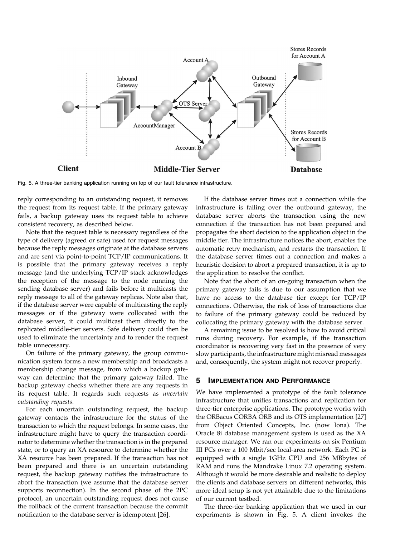

Fig. 5. A three-tier banking application running on top of our fault tolerance infrastructure.

reply corresponding to an outstanding request, it removes the request from its request table. If the primary gateway fails, a backup gateway uses its request table to achieve consistent recovery, as described below.

Note that the request table is necessary regardless of the type of delivery (agreed or safe) used for request messages because the reply messages originate at the database servers and are sent via point-to-point TCP/IP communications. It is possible that the primary gateway receives a reply message (and the underlying TCP/IP stack acknowledges the reception of the message to the node running the sending database server) and fails before it multicasts the reply message to all of the gateway replicas. Note also that, if the database server were capable of multicasting the reply messages or if the gateway were collocated with the database server, it could multicast them directly to the replicated middle-tier servers. Safe delivery could then be used to eliminate the uncertainty and to render the request table unnecessary.

On failure of the primary gateway, the group communication system forms a new membership and broadcasts a membership change message, from which a backup gateway can determine that the primary gateway failed. The backup gateway checks whether there are any requests in its request table. It regards such requests as uncertain outstanding requests.

For each uncertain outstanding request, the backup gateway contacts the infrastructure for the status of the transaction to which the request belongs. In some cases, the infrastructure might have to query the transaction coordinator to determine whether the transaction is in the prepared state, or to query an XA resource to determine whether the XA resource has been prepared. If the transaction has not been prepared and there is an uncertain outstanding request, the backup gateway notifies the infrastructure to abort the transaction (we assume that the database server supports reconnection). In the second phase of the 2PC protocol, an uncertain outstanding request does not cause the rollback of the current transaction because the commit notification to the database server is idempotent [26].

If the database server times out a connection while the infrastructure is failing over the outbound gateway, the database server aborts the transaction using the new connection if the transaction has not been prepared and propagates the abort decision to the application object in the middle tier. The infrastructure notices the abort, enables the automatic retry mechanism, and restarts the transaction. If the database server times out a connection and makes a heuristic decision to abort a prepared transaction, it is up to the application to resolve the conflict.

Note that the abort of an on-going transaction when the primary gateway fails is due to our assumption that we have no access to the database tier except for TCP/IP connections. Otherwise, the risk of loss of transactions due to failure of the primary gateway could be reduced by collocating the primary gateway with the database server.

A remaining issue to be resolved is how to avoid critical runs during recovery. For example, if the transaction coordinator is recovering very fast in the presence of very slow participants, the infrastructure might misread messages and, consequently, the system might not recover properly.

#### 5 IMPLEMENTATION AND PERFORMANCE

We have implemented a prototype of the fault tolerance infrastructure that unifies transactions and replication for three-tier enterprise applications. The prototype works with the ORBacus CORBA ORB and its OTS implementation [27] from Object Oriented Concepts, Inc. (now Iona). The Oracle 8i database management system is used as the XA resource manager. We ran our experiments on six Pentium III PCs over a 100 Mbit/sec local-area network. Each PC is equipped with a single 1GHz CPU and 256 MBbytes of RAM and runs the Mandrake Linux 7.2 operating system. Although it would be more desirable and realistic to deploy the clients and database servers on different networks, this more ideal setup is not yet attainable due to the limitations of our current testbed.

The three-tier banking application that we used in our experiments is shown in Fig. 5. A client invokes the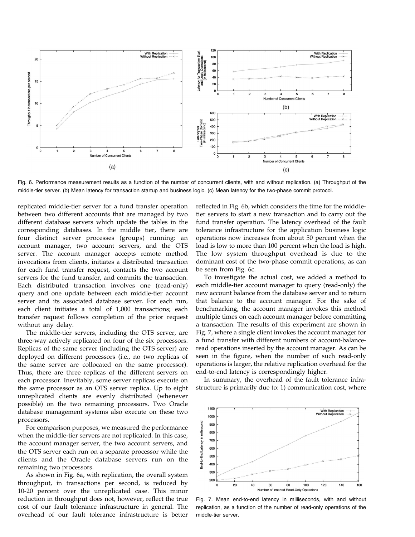

Fig. 6. Performance measurement results as a function of the number of concurrent clients, with and without replication. (a) Throughput of the middle-tier server. (b) Mean latency for transaction startup and business logic. (c) Mean latency for the two-phase commit protocol.

replicated middle-tier server for a fund transfer operation between two different accounts that are managed by two different database servers which update the tables in the corresponding databases. In the middle tier, there are four distinct server processes (groups) running: an account manager, two account servers, and the OTS server. The account manager accepts remote method invocations from clients, initiates a distributed transaction for each fund transfer request, contacts the two account servers for the fund transfer, and commits the transaction. Each distributed transaction involves one (read-only) query and one update between each middle-tier account server and its associated database server. For each run, each client initiates a total of 1,000 transactions; each transfer request follows completion of the prior request without any delay.

The middle-tier servers, including the OTS server, are three-way actively replicated on four of the six processors. Replicas of the same server (including the OTS server) are deployed on different processors (i.e., no two replicas of the same server are collocated on the same processor). Thus, there are three replicas of the different servers on each processor. Inevitably, some server replicas execute on the same processor as an OTS server replica. Up to eight unreplicated clients are evenly distributed (whenever possible) on the two remaining processors. Two Oracle database management systems also execute on these two processors.

For comparison purposes, we measured the performance when the middle-tier servers are not replicated. In this case, the account manager server, the two account servers, and the OTS server each run on a separate processor while the clients and the Oracle database servers run on the remaining two processors.

As shown in Fig. 6a, with replication, the overall system throughput, in transactions per second, is reduced by 10-20 percent over the unreplicated case. This minor reduction in throughput does not, however, reflect the true cost of our fault tolerance infrastructure in general. The overhead of our fault tolerance infrastructure is better

reflected in Fig. 6b, which considers the time for the middletier servers to start a new transaction and to carry out the fund transfer operation. The latency overhead of the fault tolerance infrastructure for the application business logic operations now increases from about 50 percent when the load is low to more than 100 percent when the load is high. The low system throughput overhead is due to the dominant cost of the two-phase commit operations, as can be seen from Fig. 6c.

To investigate the actual cost, we added a method to each middle-tier account manager to query (read-only) the new account balance from the database server and to return that balance to the account manager. For the sake of benchmarking, the account manager invokes this method multiple times on each account manager before committing a transaction. The results of this experiment are shown in Fig. 7, where a single client invokes the account manager for a fund transfer with different numbers of account-balanceread operations inserted by the account manager. As can be seen in the figure, when the number of such read-only operations is larger, the relative replication overhead for the end-to-end latency is correspondingly higher.

In summary, the overhead of the fault tolerance infrastructure is primarily due to: 1) communication cost, where



Fig. 7. Mean end-to-end latency in milliseconds, with and without replication, as a function of the number of read-only operations of the middle-tier server.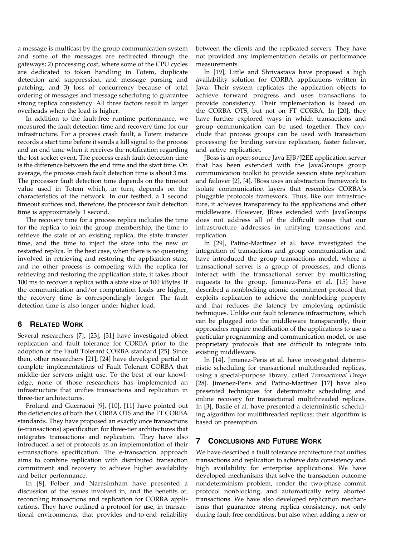a message is multicast by the group communication system and some of the messages are redirected through the gateways; 2) processing cost, where some of the CPU cycles are dedicated to token handling in Totem, duplicate detection and suppression, and message parsing and patching; and 3) loss of concurrency because of total ordering of messages and message scheduling to guarantee strong replica consistency. All three factors result in larger overheads when the load is higher.

In addition to the fault-free runtime performance, we measured the fault detection time and recovery time for our infrastructure. For a process crash fault, a Totem instance records a start time before it sends a kill signal to the process and an end time when it receives the notification regarding the lost socket event. The process crash fault detection time is the difference between the end time and the start time. On average, the process crash fault detection time is about 3 ms. The processor fault detection time depends on the timeout value used in Totem which, in turn, depends on the characteristics of the network. In our testbed, a 1 second timeout suffices and, therefore, the processor fault detection time is approximately 1 second.

The recovery time for a process replica includes the time for the replica to join the group membership, the time to retrieve the state of an existing replica, the state transfer time, and the time to inject the state into the new or restarted replica. In the best case, when there is no queueing involved in retrieving and restoring the application state, and no other process is competing with the replica for retrieving and restoring the application state, it takes about 100 ms to recover a replica with a state size of 100 kBytes. If the communication and/or computation loads are higher, the recovery time is correspondingly longer. The fault detection time is also longer under higher load.

## 6 RELATED WORK

Several researchers [7], [23], [31] have investigated object replication and fault tolerance for CORBA prior to the adoption of the Fault Tolerant CORBA standard [25]. Since then, other researchers [21], [24] have developed partial or complete implementations of Fault Tolerant CORBA that middle-tier servers might use. To the best of our knowledge, none of those researchers has implemented an infrastructure that unifies transactions and replication in three-tier architectures.

Frolund and Guerraoui [9], [10], [11] have pointed out the deficiencies of both the CORBA OTS and the FT CORBA standards. They have proposed an exactly once transactions (e-transactions) specification for three-tier architectures that integrates transactions and replication. They have also introduced a set of protocols as an implementation of their e-transactions specification. The e-transaction approach aims to combine replication with distributed transaction commitment and recovery to achieve higher availability and better performance.

In [8], Felber and Narasimham have presented a discussion of the issues involved in, and the benefits of, reconciling transactions and replication for CORBA applications. They have outlined a protocol for use, in transactional environments, that provides end-to-end reliability between the clients and the replicated servers. They have not provided any implementation details or performance measurements.

In [19], Little and Shrivastava have proposed a high availability solution for CORBA applications written in Java. Their system replicates the application objects to achieve forward progress and uses transactions to provide consistency. Their implementation is based on the CORBA OTS, but not on FT CORBA. In [20], they have further explored ways in which transactions and group communication can be used together. They conclude that process groups can be used with transaction processing for binding service replication, faster failover, and active replication.

JBoss is an open-source Java EJB/J2EE application server that has been extended with the JavaGroups group communication toolkit to provide session state replication and failover [2], [4]. JBoss uses an abstraction framework to isolate communication layers that resembles CORBA's pluggable protocols framework. Thus, like our infrastructure, it achieves transparency to the applications and other middleware. However, JBoss extended with JavaGroups does not address all of the difficult issues that our infrastructure addresses in unifying transactions and replication.

In [29], Patino-Martinez et al. have investigated the integration of transactions and group communication and have introduced the group transactions model, where a transactional server is a group of processes, and clients interact with the transactional server by multicasting requests to the group. Jimenez-Peris et al. [15] have described a nonblocking atomic commitment protocol that exploits replication to achieve the nonblocking property and that reduces the latency by employing optimistic techniques. Unlike our fault tolerance infrastructure, which can be plugged into the middleware transparently, their approaches require modification of the applications to use a particular programming and communication model, or use proprietary protocols that are difficult to integrate into existing middleware.

In [14], Jimenez-Peris et al. have investigated deterministic scheduling for transactional multithreaded replicas, using a special-purpose library, called Transactional Drago [28]. Jimenez-Peris and Patino-Martinez [17] have also presented techniques for deterministic scheduling and online recovery for transactional multithreaded replicas. In [3], Basile et al. have presented a deterministic scheduling algorithm for multithreaded replicas; their algorithm is based on preemption.

#### 7 CONCLUSIONS AND FUTURE WORK

We have described a fault tolerance architecture that unifies transactions and replication to achieve data consistency and high availability for enterprise applications. We have developed mechanisms that solve the transaction outcome nondeterminism problem, render the two-phase commit protocol nonblocking, and automatically retry aborted transactions. We have also developed replication mechanisms that guarantee strong replica consistency, not only during fault-free conditions, but also when adding a new or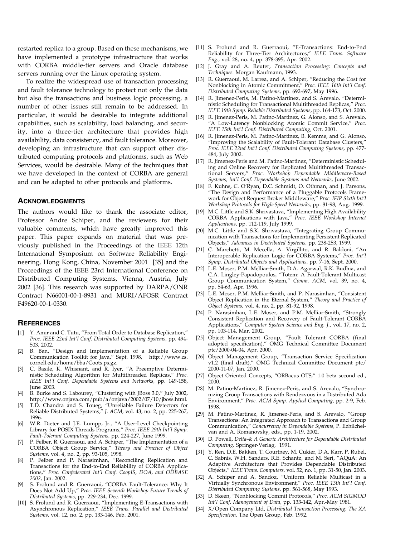restarted replica to a group. Based on these mechanisms, we have implemented a prototype infrastructure that works with CORBA middle-tier servers and Oracle database [12] J. Gray and A. Reuter, Transaction Processing: Concepts and servers running over the Linux operating system.<br>Te realize the videoproed use of transaction processing [13] R. Guerraoui, M. Larrea, and A. Schi

To realize the widespread use of transaction processing and fault tolerance technology to protect not only the data but also the transactions and business logic processing, a [14] R. Jimenez-Peris, M. Patino-Martinez, and S. Arevalo, "Determi-<br>number of other issues still remain to be addressed In istic Scheduling for Transactional Mult number of other issues still remain to be addressed. In particular, it would be desirable to integrate additional capabilities, such as scalability, load balancing, and security, into a three-tier architecture that provides high availability, data consistency, and fault tolerance. Moreover, developing an infrastructure that can support other distributed computing protocols and platforms, such as Web Services, would be desirable. Many of the techniques that we have developed in the context of CORBA are general and can be adapted to other protocols and platforms.

The authors would like to thank the associate editor, [19] M.C. Little and S.K. Shrivastava, "Implementing High Availability<br>Professor Andre Schiner and the reviewers for their CORBA Applications with Java," Proc. IEEE Wor Professor Andre Schiper, and the reviewers for their valuable comments, which have greatly improved this [20] M.C. Little and S.K. Shrivastava, "Integrating Group Commu-<br>paper. This paper expands on material that was pre-<br>pication with Transactions for Implementing Persisten paper. This paper expands on material that was previously published in the Proceedings of the IEEE 12th International Symposium on Software Reliability Engineering, Hong Kong, China, November 2001 [35] and the Proceedings of the IEEE 23rd International Conference on Distributed Computing Systems, Vienna, Austria, July 2002 [36]. This research was supported by DARPA/ONR pp. 54-63, Apr. 1996.<br>Contract N66001-00-1-8931 and MURI/AFOSR Contract [23] L.E. Moser, P.M. Me. Contract N66001-00-1-8931 and MURI/AFOSR Contract F49620-00-1-0330.

#### **REFERENCES**

- [1] Y. Amir and C. Tutu, "From Total Order to Database Replication," pp. 103-114, Mar. 2002.<br>*Proc. IEEE 22nd Int'l Conf. Distributed Computing Systems, pp.* 494- [25] Object Management Group, "Fault Tolerant CORBA (final Proc. IEEE 22nd Int'l Conf. Distributed Computing Systems, pp. 494-
- [2] B. Ban, "Design and Implementation of a Reliable Group Communication Toolkit for Java," Sept. 1998, http://www.cs.
- [3] C. Basile, K. Whisnant, and R. Iyer, "A Preemptive Deterministic Scheduling Algorithm for Multithreaded Replicas," Proc. IEEE Int'l Conf. Dependable Systems and Networks, pp. 149-158, 2000. June 2003.
- http://www.onjava.com/pub/a/onjava/2002/07/10/jboss.html.
- Reliable Distributed Systems," J. ACM, vol. 43, no. 2, pp. 225-267, 1996.
- W.R. Dieter and J.E. Lumpp, Jr., "A User-Level Checkpointing Library for POSIX Threads Programs," Proc. IEEE 29th Int'l Symp. Fault-Tolerant Computing Systems, pp. 224-227, June 1999.
- [7] P. Felber, R. Guerraoui, and A. Schiper, "The Implementation of a CORBA Object Group Service," Theory and Practice of Object Systems, vol. 4, no. 2, pp. 93-105, 1998.
- P. Felber and P. Narasimhan, "Reconciling Replication and Transactions for the End-to-End Reliability of CORBA Applications," Proc. Confederated Int'l Conf. CoopIS, DOA, and ODBASE 2002, Jan. 2002.
- [9] S. Frolund and R. Guerraoui, "CORBA Fault-Tolerance: Why It Does Not Add Up," Proc. IEEE Seventh Workshop Future Trends of Distributed Systems, pp. 229-234, Dec. 1999.
- [10] S. Frolund and R. Guerraoui, "Implementing E-Transactions with Int'l Conf. Management of Data, pp. 133-142, Apr.-May 1981. Asynchronous Replication," IEEE Trans. Parallel and Distributed [34] X/Open Company Ltd, Distributed Transaction, The Open Group, Feb. 1992. Systems, vol. 12, no. 2, pp. 133-146, Feb. 2001.
- [11] S. Frolund and R. Guerraoui, "E-Transactions: End-to-End Reliability for Three-Tier Architectures," IEEE Trans. Software Eng., vol. 28, no. 4, pp. 378-395, Apr. 2002.
- 
- R. Guerraoui, M. Larrea, and A. Schiper, "Reducing the Cost for Nonblocking in Atomic Commitment," Proc. IEEE 16th Int'l Conf. Distributed Computing Systems, pp. 692-697, May 1996.
- IEEE 19th Symp. Reliable Distributed Systems, pp. 164-173, Oct. 2000.
- [15] R. Jimenez-Peris, M. Patino-Martinez, G. Alonso, and S. Arevalo, "A Low-Latency Nonblocking Atomic Commit Service," Proc. IEEE 15th Int'l Conf. Distributed Computing, Oct. 2001.
- [16] R. Jimenez-Peris, M. Patino-Martinez, B. Kemme, and G. Alonso, "Improving the Scalability of Fault-Tolerant Database Clusters,"<br>Proc. IEEE 22nd Int'l Conf. Distributed Computing Systems, pp. 477-484, July 2002.
- [17] R. Jimenez-Peris and M. Patino-Martinez, "Deterministic Scheduling and Online Recovery for Replicated Multithreaded Transactional Servers," Proc. Workshop Dependable Middleware-Based Systems, Int'l Conf. Dependable Systems and Networks, June 2002.
- [18] F. Kuhns, C. O'Ryan, D.C. Schmidt, O. Othman, and J. Parsons, "The Design and Performance of a Pluggable Protocols Frame-ACKNOWLEDGMENTS work for Object Request Broker Middleware," Proc. IFIP Sixth Int'l Workshop Protocols for High-Speed Networks, pp. 81-98, Aug. 1999.
	- Applications, pp. 112-119, July 1999.
	- Objects," Advances in Distributed Systems, pp. 238-253, 1999.
	- C. Marchetti, M. Mecella, A. Virgillito, and R. Baldoni, "An Interoperable Replication Logic for CORBA Systems," Proc. Int'l<br>Symp. Distributed Objects and Applications, pp. 7-16, Sept. 2000.
	- [22] L.E. Moser, P.M. Melliar-Smith, D.A. Agarwal, R.K. Budhia, and C.A. Lingley-Papadopoulos, "Totem: A Fault-Tolerant Multicast Group Communication System," Comm. ACM, vol. 39, no. 4,
	- L.E. Moser, P.M. Melliar-Smith, and P. Narasimhan, "Consistent Object Replication in the Eternal System," Theory and Practice of Object Systems, vol. 4, no. 2, pp. 81-92, 1998.
	- [24] P. Narasimhan, L.E. Moser, and P.M. Melliar-Smith, "Strongly Consistent Replication and Recovery of Fault-Tolerant CORBA Applications," Computer System Science and Eng. J., vol. 17, no. 2, pp. 103-114, Mar. 2002.
	- 503, 2002.<br>B. Ban, "Design and Implementation of a Reliable Group ptc/2000-04-04, Apr. 2000.
	- Communication Toolkit for Java," Sept. 1998, http://www.cs. [26] Object Management Group, "Transaction Service Specification v1.2 (final draft)," OMG Technical Committee Document ptc/<br>2000-11-07, Jan. 2000.
		- [27] Object Oriented Concepts, "ORBacus OTS," 1.0 beta second ed.,
- [4] B. Burke and S. Labourey, "Clustering with JBoss 3.0," July 2002, [28] M. Patino-Martinez, R. Jimenez-Peris, and S. Arevalo, "Synchronizing Group Transactions with Rendezvous in a Distributed Ada<br>Environment," Proc. ACM Symp. Applied Computing, pp. 2-9, Feb. nttp://www.onjava.com/pub/a/onjava/2002/07/10/jboss.html. Environment," Proc. ACM Symp. Applied Computing, pp. 2-9, Feb.<br>[5] T.D. Chandra and S. Toueg, "Unreliable Failure Detectors for 1998. 1998.
	- [29] M. Patino-Martinez, R. Jimenez-Peris, and S. Arevalo, "Group Transactions: An Integrated Approach to Transactions and Group Communication," Concurrency in Dependable Systems, P. Ezhilchelvan and A. Romanovsky, eds., pp. 1-19, 2002.
	- [30] D. Powell, Delta-4: A Generic Architecture for Dependable Distributed Computing. Springer-Verlag, 1991.
	- [31] Y. Ren, D.E. Bakken, T. Courtney, M. Cukier, D.A. Karr, P. Rubel, C. Sabnis, W.H. Sanders, R.E. Schantz, and M. Seri, "AQuA: An Adaptive Architecture that Provides Dependable Distributed Objects," IEEE Trans. Computers, vol. 52, no. 1, pp. 31-50, Jan. 2003.
	- [32] A. Schiper and A. Sandoz, "Uniform Reliable Multicast in a Virtually Synchronous Environment," Proc. IEEE 13th Int'l Conf. Distributed Computing Systems, pp. 561-568, May 1993.
	- [33] D. Skeen, "Nonblocking Commit Protocols," Proc. ACM SIGMOD Int'l Conf. Management of Data, pp. 133-142, Apr.-May 1981.
	-